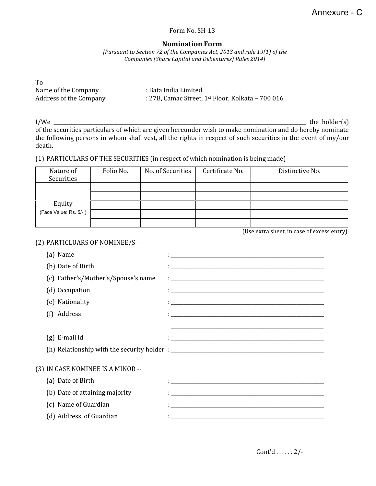## Form No. SH-13

## **Nomination Form**

*[Pursuant to Section 72 of the Companies Act, 2013 and rule 19(1) of the Companies (Share Capital and Debentures) Rules 2014]*

| T <sub>0</sub>         |                                                                 |
|------------------------|-----------------------------------------------------------------|
| Name of the Company    | : Bata India Limited                                            |
| Address of the Company | : 27B, Camac Street, $1$ <sup>st</sup> Floor, Kolkata - 700 016 |

 $\,$  I/We  $\_$  the holder(s)  $\,$ of the securities particulars of which are given hereunder wish to make nomination and do hereby nominate the following persons in whom shall vest, all the rights in respect of such securities in the event of my/our death.

## (1) PARTICULARS OF THE SECURITIES (in respect of which nomination is being made)

| Nature of<br>Securities | Folio No. | No. of Securities | Certificate No. | Distinctive No. |
|-------------------------|-----------|-------------------|-----------------|-----------------|
|                         |           |                   |                 |                 |
|                         |           |                   |                 |                 |
|                         |           |                   |                 |                 |
| Equity                  |           |                   |                 |                 |
| (Face Value: Rs. 5/-)   |           |                   |                 |                 |
|                         |           |                   |                 |                 |

(Use extra sheet, in case of excess entry)

## (2) PARTICLUARS OF NOMINEE/S –

| (a) Name                            | <u> 1980 - Johann Stein, marwolaethau a bhann an t-Amhair ann an t-Amhair an t-Amhair an t-Amhair an t-Amhair an</u> |
|-------------------------------------|----------------------------------------------------------------------------------------------------------------------|
| (b) Date of Birth                   |                                                                                                                      |
| (c) Father's/Mother's/Spouse's name |                                                                                                                      |
| (d) Occupation                      |                                                                                                                      |
| (e) Nationality                     |                                                                                                                      |
| Address<br>(f)                      |                                                                                                                      |
|                                     |                                                                                                                      |
| $(g)$ E-mail id                     |                                                                                                                      |
|                                     |                                                                                                                      |
|                                     |                                                                                                                      |
| (3) IN CASE NOMINEE IS A MINOR --   |                                                                                                                      |
| (a) Date of Birth                   |                                                                                                                      |
| (b) Date of attaining majority      |                                                                                                                      |
| (c) Name of Guardian                |                                                                                                                      |
| (d) Address of Guardian             |                                                                                                                      |

Cont'd . . . . . . 2/-